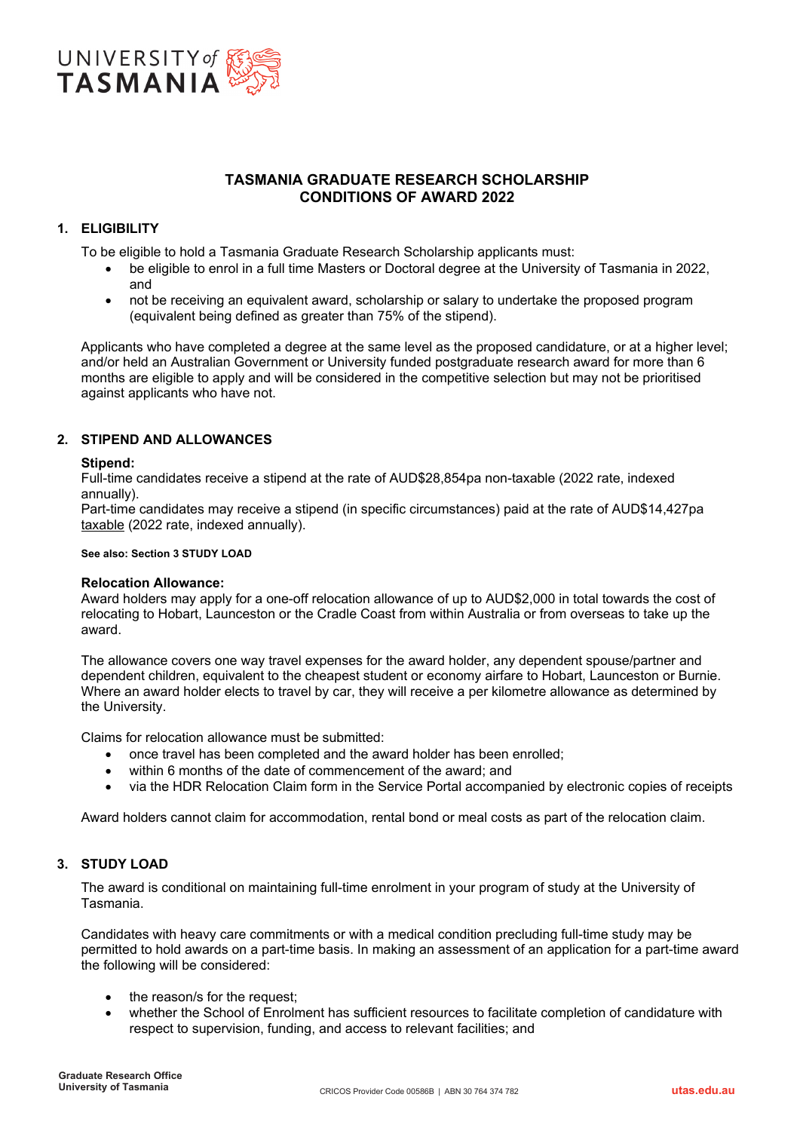

# **TASMANIA GRADUATE RESEARCH SCHOLARSHIP CONDITIONS OF AWARD 2022**

# **1. ELIGIBILITY**

To be eligible to hold a Tasmania Graduate Research Scholarship applicants must:

- be eligible to enrol in a full time Masters or Doctoral degree at the University of Tasmania in 2022, and
- not be receiving an equivalent award, scholarship or salary to undertake the proposed program (equivalent being defined as greater than 75% of the stipend).

Applicants who have completed a degree at the same level as the proposed candidature, or at a higher level; and/or held an Australian Government or University funded postgraduate research award for more than 6 months are eligible to apply and will be considered in the competitive selection but may not be prioritised against applicants who have not.

# **2. STIPEND AND ALLOWANCES**

#### **Stipend:**

Full-time candidates receive a stipend at the rate of AUD\$28,854pa non-taxable (2022 rate, indexed annually).

Part-time candidates may receive a stipend (in specific circumstances) paid at the rate of AUD\$14,427pa taxable (2022 rate, indexed annually).

#### **See also: Section 3 STUDY LOAD**

#### **Relocation Allowance:**

Award holders may apply for a one-off relocation allowance of up to AUD\$2,000 in total towards the cost of relocating to Hobart, Launceston or the Cradle Coast from within Australia or from overseas to take up the award.

The allowance covers one way travel expenses for the award holder, any dependent spouse/partner and dependent children, equivalent to the cheapest student or economy airfare to Hobart, Launceston or Burnie. Where an award holder elects to travel by car, they will receive a per kilometre allowance as determined by the University.

Claims for relocation allowance must be submitted:

- once travel has been completed and the award holder has been enrolled;
- within 6 months of the date of commencement of the award; and
- via the HDR Relocation Claim form in the Service Portal accompanied by electronic copies of receipts

Award holders cannot claim for accommodation, rental bond or meal costs as part of the relocation claim.

# **3. STUDY LOAD**

The award is conditional on maintaining full-time enrolment in your program of study at the University of Tasmania.

Candidates with heavy care commitments or with a medical condition precluding full-time study may be permitted to hold awards on a part-time basis. In making an assessment of an application for a part-time award the following will be considered:

- the reason/s for the request;
- whether the School of Enrolment has sufficient resources to facilitate completion of candidature with respect to supervision, funding, and access to relevant facilities; and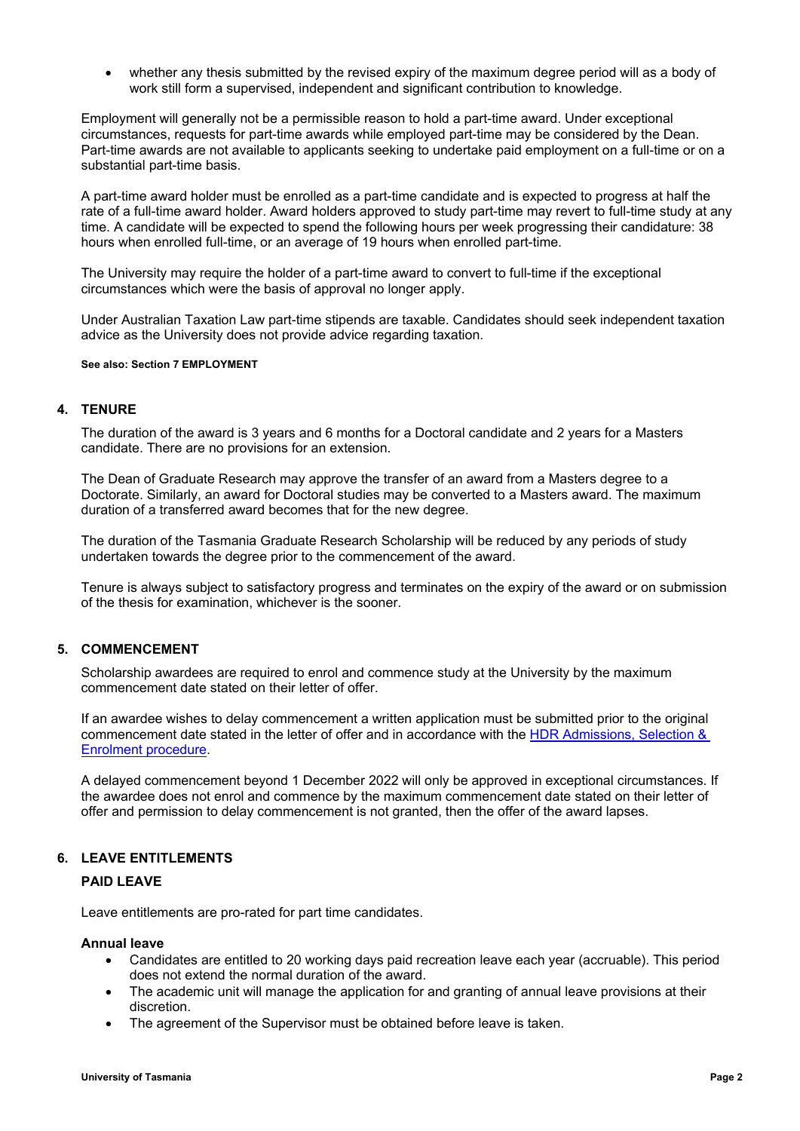whether any thesis submitted by the revised expiry of the maximum degree period will as a body of work still form a supervised, independent and significant contribution to knowledge.

Employment will generally not be a permissible reason to hold a part-time award. Under exceptional circumstances, requests for part-time awards while employed part-time may be considered by the Dean. Part-time awards are not available to applicants seeking to undertake paid employment on a full-time or on a substantial part-time basis.

A part-time award holder must be enrolled as a part-time candidate and is expected to progress at half the rate of a full-time award holder. Award holders approved to study part-time may revert to full-time study at any time. A candidate will be expected to spend the following hours per week progressing their candidature: 38 hours when enrolled full-time, or an average of 19 hours when enrolled part-time.

The University may require the holder of a part-time award to convert to full-time if the exceptional circumstances which were the basis of approval no longer apply.

Under Australian Taxation Law part-time stipends are taxable. Candidates should seek independent taxation advice as the University does not provide advice regarding taxation.

**See also: Section 7 EMPLOYMENT**

### **4. TENURE**

The duration of the award is 3 years and 6 months for a Doctoral candidate and 2 years for a Masters candidate. There are no provisions for an extension.

The Dean of Graduate Research may approve the transfer of an award from a Masters degree to a Doctorate. Similarly, an award for Doctoral studies may be converted to a Masters award. The maximum duration of a transferred award becomes that for the new degree.

The duration of the Tasmania Graduate Research Scholarship will be reduced by any periods of study undertaken towards the degree prior to the commencement of the award.

Tenure is always subject to satisfactory progress and terminates on the expiry of the award or on submission of the thesis for examination, whichever is the sooner.

# **5. COMMENCEMENT**

Scholarship awardees are required to enrol and commence study at the University by the maximum commencement date stated on their letter of offer.

If an awardee wishes to delay commencement a written application must be submitted prior to the original commencement date stated in the letter of offer and in accordance with the [HDR Admissions, Selection &](https://www.utas.edu.au/research-admin/graduate-research/policies-and-forms/hdr-policies)  [Enrolment procedure.](https://www.utas.edu.au/research-admin/graduate-research/policies-and-forms/hdr-policies)

A delayed commencement beyond 1 December 2022 will only be approved in exceptional circumstances. If the awardee does not enrol and commence by the maximum commencement date stated on their letter of offer and permission to delay commencement is not granted, then the offer of the award lapses.

# **6. LEAVE ENTITLEMENTS**

# **PAID LEAVE**

Leave entitlements are pro-rated for part time candidates.

#### **Annual leave**

- Candidates are entitled to 20 working days paid recreation leave each year (accruable). This period does not extend the normal duration of the award.
- The academic unit will manage the application for and granting of annual leave provisions at their discretion.
- The agreement of the Supervisor must be obtained before leave is taken.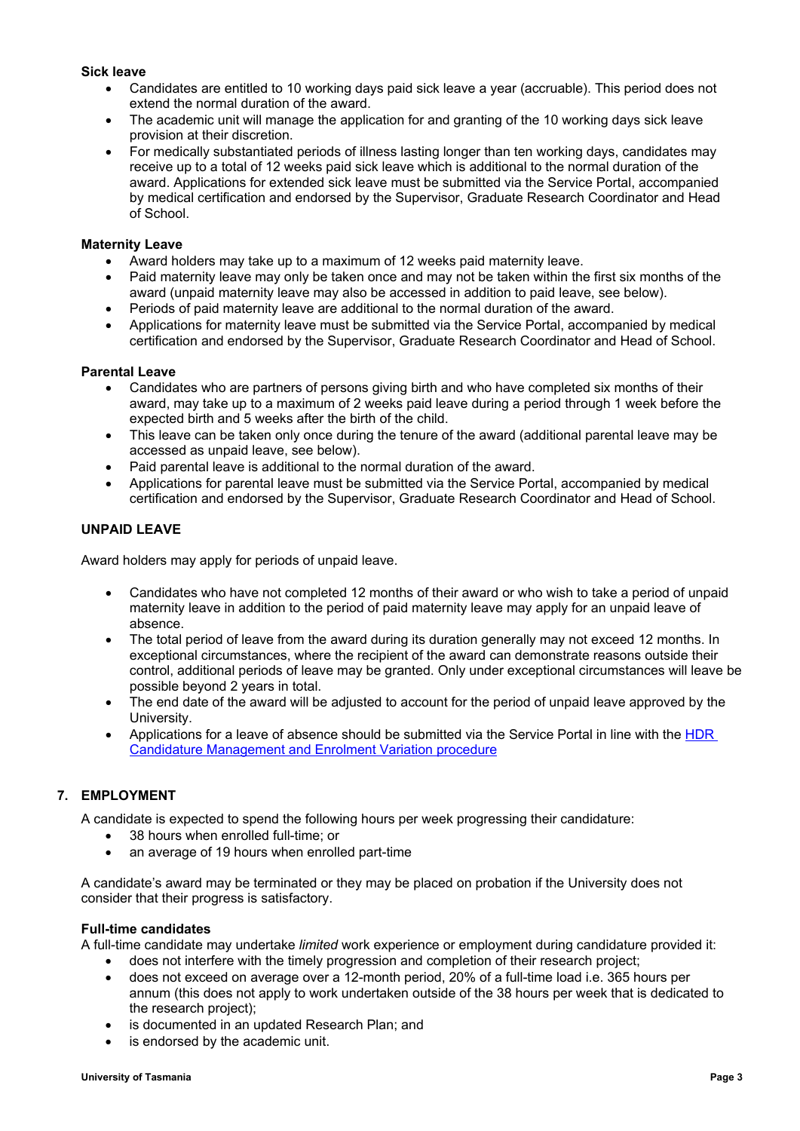### **Sick leave**

- Candidates are entitled to 10 working days paid sick leave a year (accruable). This period does not extend the normal duration of the award.
- The academic unit will manage the application for and granting of the 10 working days sick leave provision at their discretion.
- For medically substantiated periods of illness lasting longer than ten working days, candidates may receive up to a total of 12 weeks paid sick leave which is additional to the normal duration of the award. Applications for extended sick leave must be submitted via the Service Portal, accompanied by medical certification and endorsed by the Supervisor, Graduate Research Coordinator and Head of School.

### **Maternity Leave**

- Award holders may take up to a maximum of 12 weeks paid maternity leave.
- Paid maternity leave may only be taken once and may not be taken within the first six months of the award (unpaid maternity leave may also be accessed in addition to paid leave, see below).
- Periods of paid maternity leave are additional to the normal duration of the award.
- Applications for maternity leave must be submitted via the Service Portal, accompanied by medical certification and endorsed by the Supervisor, Graduate Research Coordinator and Head of School.

### **Parental Leave**

- Candidates who are partners of persons giving birth and who have completed six months of their award, may take up to a maximum of 2 weeks paid leave during a period through 1 week before the expected birth and 5 weeks after the birth of the child.
- This leave can be taken only once during the tenure of the award (additional parental leave may be accessed as unpaid leave, see below).
- Paid parental leave is additional to the normal duration of the award.
- Applications for parental leave must be submitted via the Service Portal, accompanied by medical certification and endorsed by the Supervisor, Graduate Research Coordinator and Head of School.

### **UNPAID LEAVE**

Award holders may apply for periods of unpaid leave.

- Candidates who have not completed 12 months of their award or who wish to take a period of unpaid maternity leave in addition to the period of paid maternity leave may apply for an unpaid leave of absence.
- The total period of leave from the award during its duration generally may not exceed 12 months. In exceptional circumstances, where the recipient of the award can demonstrate reasons outside their control, additional periods of leave may be granted. Only under exceptional circumstances will leave be possible beyond 2 years in total.
- The end date of the award will be adjusted to account for the period of unpaid leave approved by the University.
- Applications for a leave of absence should be submitted via the Service Portal in line with the [HDR](https://www.utas.edu.au/research-admin/graduate-research/policies-and-forms/hdr-policies)  [Candidature Management and Enrolment Variation procedure](https://www.utas.edu.au/research-admin/graduate-research/policies-and-forms/hdr-policies)

# **7. EMPLOYMENT**

A candidate is expected to spend the following hours per week progressing their candidature:

- 38 hours when enrolled full-time; or
- an average of 19 hours when enrolled part-time

A candidate's award may be terminated or they may be placed on probation if the University does not consider that their progress is satisfactory.

#### **Full-time candidates**

A full-time candidate may undertake *limited* work experience or employment during candidature provided it:

- does not interfere with the timely progression and completion of their research project;
- does not exceed on average over a 12-month period, 20% of a full-time load i.e. 365 hours per annum (this does not apply to work undertaken outside of the 38 hours per week that is dedicated to the research project);
- is documented in an updated Research Plan; and
- is endorsed by the academic unit.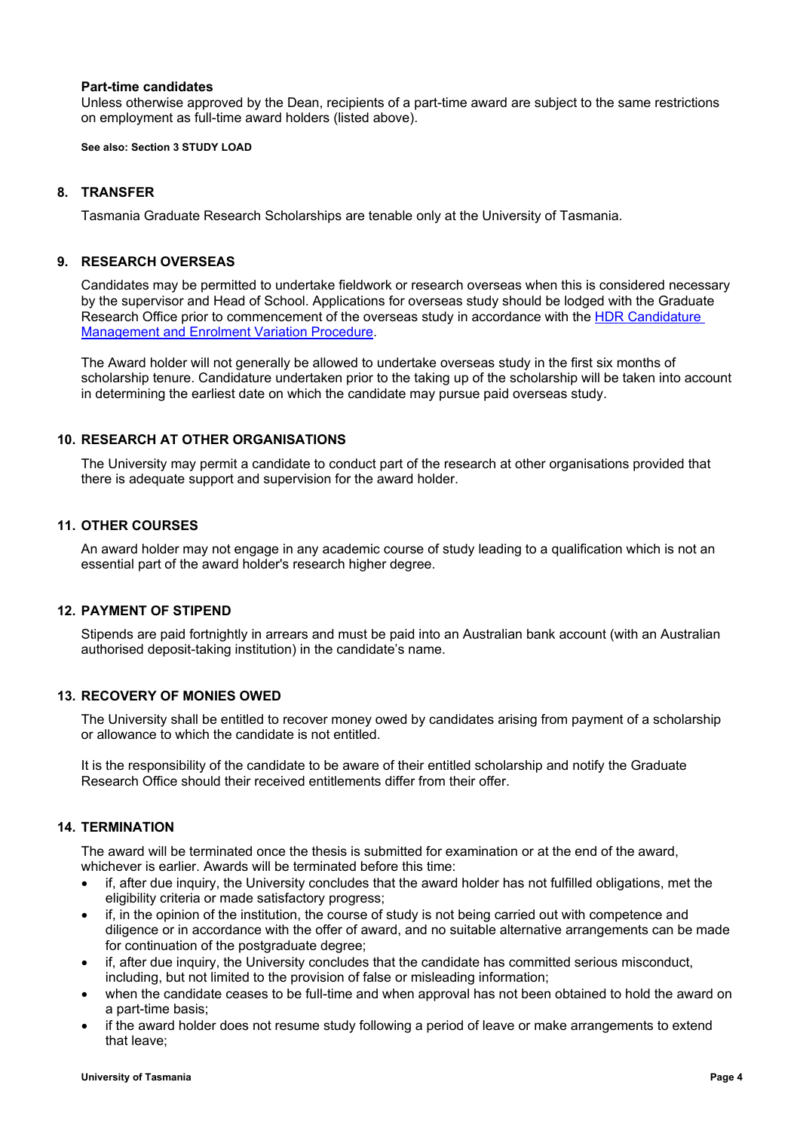#### **Part-time candidates**

Unless otherwise approved by the Dean, recipients of a part-time award are subject to the same restrictions on employment as full-time award holders (listed above).

**See also: Section 3 STUDY LOAD**

## **8. TRANSFER**

Tasmania Graduate Research Scholarships are tenable only at the University of Tasmania.

### **9. RESEARCH OVERSEAS**

Candidates may be permitted to undertake fieldwork or research overseas when this is considered necessary by the supervisor and Head of School. Applications for overseas study should be lodged with the Graduate Research Office prior to commencement of the overseas study in accordance with the [HDR Candidature](https://www.utas.edu.au/research-admin/graduate-research/policies-and-forms/hdr-policies)  [Management and Enrolment Variation Procedure.](https://www.utas.edu.au/research-admin/graduate-research/policies-and-forms/hdr-policies)

The Award holder will not generally be allowed to undertake overseas study in the first six months of scholarship tenure. Candidature undertaken prior to the taking up of the scholarship will be taken into account in determining the earliest date on which the candidate may pursue paid overseas study.

### **10. RESEARCH AT OTHER ORGANISATIONS**

The University may permit a candidate to conduct part of the research at other organisations provided that there is adequate support and supervision for the award holder.

### **11. OTHER COURSES**

An award holder may not engage in any academic course of study leading to a qualification which is not an essential part of the award holder's research higher degree.

# **12. PAYMENT OF STIPEND**

Stipends are paid fortnightly in arrears and must be paid into an Australian bank account (with an Australian authorised deposit-taking institution) in the candidate's name.

# **13. RECOVERY OF MONIES OWED**

The University shall be entitled to recover money owed by candidates arising from payment of a scholarship or allowance to which the candidate is not entitled.

It is the responsibility of the candidate to be aware of their entitled scholarship and notify the Graduate Research Office should their received entitlements differ from their offer.

# **14. TERMINATION**

The award will be terminated once the thesis is submitted for examination or at the end of the award, whichever is earlier. Awards will be terminated before this time:

- if, after due inquiry, the University concludes that the award holder has not fulfilled obligations, met the eligibility criteria or made satisfactory progress;
- if, in the opinion of the institution, the course of study is not being carried out with competence and diligence or in accordance with the offer of award, and no suitable alternative arrangements can be made for continuation of the postgraduate degree;
- if, after due inquiry, the University concludes that the candidate has committed serious misconduct, including, but not limited to the provision of false or misleading information;
- when the candidate ceases to be full-time and when approval has not been obtained to hold the award on a part-time basis;
- if the award holder does not resume study following a period of leave or make arrangements to extend that leave;